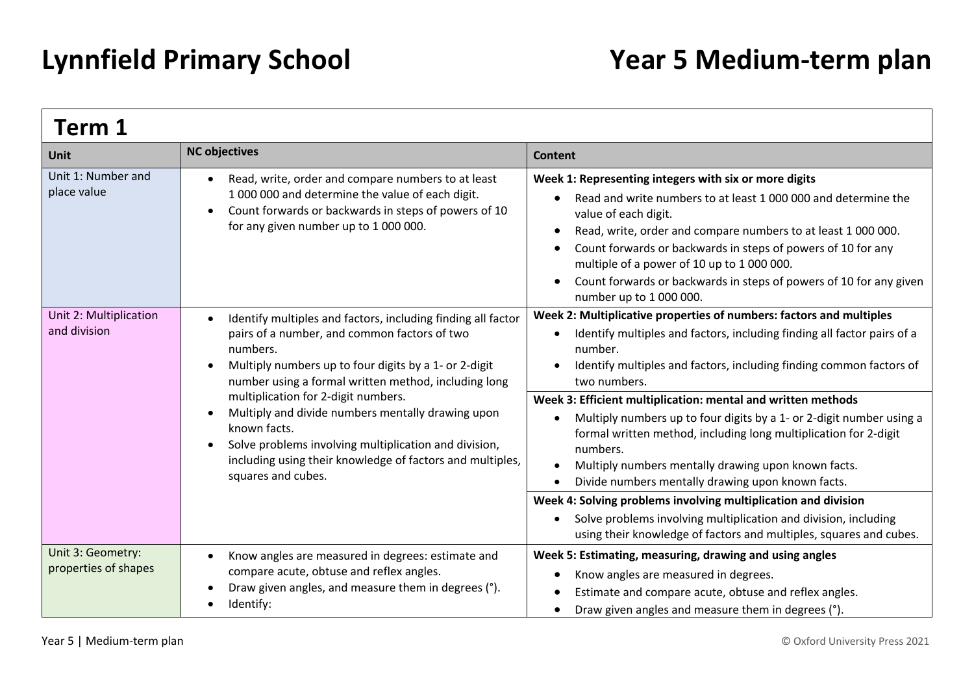| Term 1                                    |                                                                                                                                                                                                                                                                                                                                                                                                                                                                                                   |                                                                                                                                                                                                                                                                                                                                                                                                                                                                                                                                                                                                                                                                                                                                                                                                 |
|-------------------------------------------|---------------------------------------------------------------------------------------------------------------------------------------------------------------------------------------------------------------------------------------------------------------------------------------------------------------------------------------------------------------------------------------------------------------------------------------------------------------------------------------------------|-------------------------------------------------------------------------------------------------------------------------------------------------------------------------------------------------------------------------------------------------------------------------------------------------------------------------------------------------------------------------------------------------------------------------------------------------------------------------------------------------------------------------------------------------------------------------------------------------------------------------------------------------------------------------------------------------------------------------------------------------------------------------------------------------|
| Unit                                      | <b>NC objectives</b>                                                                                                                                                                                                                                                                                                                                                                                                                                                                              | <b>Content</b>                                                                                                                                                                                                                                                                                                                                                                                                                                                                                                                                                                                                                                                                                                                                                                                  |
| Unit 1: Number and<br>place value         | Read, write, order and compare numbers to at least<br>1 000 000 and determine the value of each digit.<br>Count forwards or backwards in steps of powers of 10<br>$\bullet$<br>for any given number up to 1 000 000.                                                                                                                                                                                                                                                                              | Week 1: Representing integers with six or more digits<br>Read and write numbers to at least 1 000 000 and determine the<br>value of each digit.<br>Read, write, order and compare numbers to at least 1 000 000.<br>Count forwards or backwards in steps of powers of 10 for any<br>multiple of a power of 10 up to 1 000 000.<br>Count forwards or backwards in steps of powers of 10 for any given<br>number up to 1 000 000.                                                                                                                                                                                                                                                                                                                                                                 |
| Unit 2: Multiplication<br>and division    | Identify multiples and factors, including finding all factor<br>pairs of a number, and common factors of two<br>numbers.<br>Multiply numbers up to four digits by a 1- or 2-digit<br>number using a formal written method, including long<br>multiplication for 2-digit numbers.<br>Multiply and divide numbers mentally drawing upon<br>known facts.<br>Solve problems involving multiplication and division,<br>including using their knowledge of factors and multiples,<br>squares and cubes. | Week 2: Multiplicative properties of numbers: factors and multiples<br>Identify multiples and factors, including finding all factor pairs of a<br>number.<br>Identify multiples and factors, including finding common factors of<br>two numbers.<br>Week 3: Efficient multiplication: mental and written methods<br>Multiply numbers up to four digits by a 1- or 2-digit number using a<br>formal written method, including long multiplication for 2-digit<br>numbers.<br>Multiply numbers mentally drawing upon known facts.<br>Divide numbers mentally drawing upon known facts.<br>Week 4: Solving problems involving multiplication and division<br>Solve problems involving multiplication and division, including<br>using their knowledge of factors and multiples, squares and cubes. |
| Unit 3: Geometry:<br>properties of shapes | Know angles are measured in degrees: estimate and<br>compare acute, obtuse and reflex angles.<br>Draw given angles, and measure them in degrees (°).<br>Identify:                                                                                                                                                                                                                                                                                                                                 | Week 5: Estimating, measuring, drawing and using angles<br>Know angles are measured in degrees.<br>Estimate and compare acute, obtuse and reflex angles.<br>Draw given angles and measure them in degrees (°).                                                                                                                                                                                                                                                                                                                                                                                                                                                                                                                                                                                  |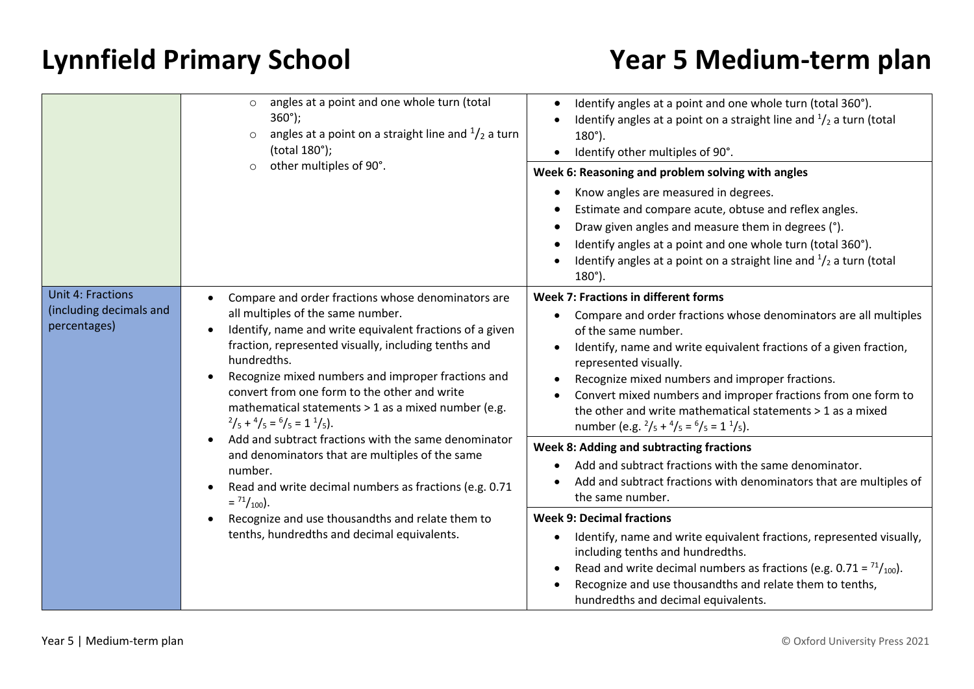|                                                                     | angles at a point and one whole turn (total<br>$\circ$<br>$360^{\circ}$ );<br>angles at a point on a straight line and $\frac{1}{2}$ a turn<br>$\circ$<br>(total 180°);<br>other multiples of 90°.<br>$\circ$                                                                                                                                                                                                                                                                                                                                                                                                                                                                                                                                                                  | Identify angles at a point and one whole turn (total 360°).<br>Identify angles at a point on a straight line and $\frac{1}{2}$ a turn (total<br>$180^{\circ}$ ).<br>Identify other multiples of 90°.<br>Week 6: Reasoning and problem solving with angles<br>Know angles are measured in degrees.<br>Estimate and compare acute, obtuse and reflex angles.<br>Draw given angles and measure them in degrees (°).                                                                            |
|---------------------------------------------------------------------|--------------------------------------------------------------------------------------------------------------------------------------------------------------------------------------------------------------------------------------------------------------------------------------------------------------------------------------------------------------------------------------------------------------------------------------------------------------------------------------------------------------------------------------------------------------------------------------------------------------------------------------------------------------------------------------------------------------------------------------------------------------------------------|---------------------------------------------------------------------------------------------------------------------------------------------------------------------------------------------------------------------------------------------------------------------------------------------------------------------------------------------------------------------------------------------------------------------------------------------------------------------------------------------|
|                                                                     |                                                                                                                                                                                                                                                                                                                                                                                                                                                                                                                                                                                                                                                                                                                                                                                | Identify angles at a point and one whole turn (total 360°).<br>Identify angles at a point on a straight line and $\frac{1}{2}$ a turn (total<br>$180^{\circ}$ ).                                                                                                                                                                                                                                                                                                                            |
| <b>Unit 4: Fractions</b><br>(including decimals and<br>percentages) | Compare and order fractions whose denominators are<br>all multiples of the same number.<br>Identify, name and write equivalent fractions of a given<br>$\bullet$<br>fraction, represented visually, including tenths and<br>hundredths.<br>Recognize mixed numbers and improper fractions and<br>convert from one form to the other and write<br>mathematical statements > 1 as a mixed number (e.g.<br>$^{2}/_{5}$ + $^{4}/_{5}$ = $^{6}/_{5}$ = 1 $^{1}/_{5}$ ).<br>Add and subtract fractions with the same denominator<br>and denominators that are multiples of the same<br>number.<br>Read and write decimal numbers as fractions (e.g. 0.71<br>$=$ $^{71}/_{100}$ ).<br>Recognize and use thousandths and relate them to<br>tenths, hundredths and decimal equivalents. | Week 7: Fractions in different forms<br>Compare and order fractions whose denominators are all multiples<br>of the same number.<br>Identify, name and write equivalent fractions of a given fraction,<br>represented visually.<br>Recognize mixed numbers and improper fractions.<br>Convert mixed numbers and improper fractions from one form to<br>the other and write mathematical statements > 1 as a mixed<br>number (e.g. $^{2}/_{5}$ + $^{4}/_{5}$ = $^{6}/_{5}$ = 1 $^{1}/_{5}$ ). |
|                                                                     |                                                                                                                                                                                                                                                                                                                                                                                                                                                                                                                                                                                                                                                                                                                                                                                | Week 8: Adding and subtracting fractions<br>Add and subtract fractions with the same denominator.<br>Add and subtract fractions with denominators that are multiples of<br>the same number.                                                                                                                                                                                                                                                                                                 |
|                                                                     |                                                                                                                                                                                                                                                                                                                                                                                                                                                                                                                                                                                                                                                                                                                                                                                | <b>Week 9: Decimal fractions</b><br>Identify, name and write equivalent fractions, represented visually,<br>including tenths and hundredths.<br>Read and write decimal numbers as fractions (e.g. $0.71 = \frac{71}{100}$ ).<br>Recognize and use thousandths and relate them to tenths,<br>hundredths and decimal equivalents.                                                                                                                                                             |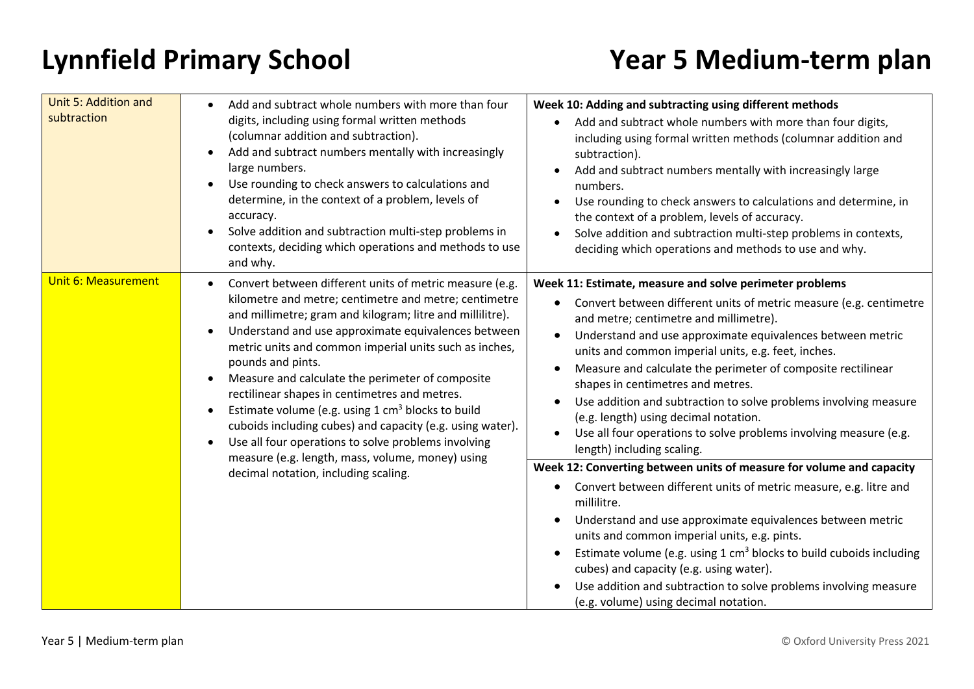| Unit 5: Addition and<br>subtraction | Add and subtract whole numbers with more than four<br>$\bullet$<br>digits, including using formal written methods<br>(columnar addition and subtraction).<br>Add and subtract numbers mentally with increasingly<br>$\bullet$<br>large numbers.<br>Use rounding to check answers to calculations and<br>$\bullet$<br>determine, in the context of a problem, levels of<br>accuracy.<br>Solve addition and subtraction multi-step problems in<br>contexts, deciding which operations and methods to use<br>and why.                                                                                                                                                                                                                                           | Week 10: Adding and subtracting using different methods<br>Add and subtract whole numbers with more than four digits,<br>including using formal written methods (columnar addition and<br>subtraction).<br>Add and subtract numbers mentally with increasingly large<br>numbers.<br>Use rounding to check answers to calculations and determine, in<br>the context of a problem, levels of accuracy.<br>Solve addition and subtraction multi-step problems in contexts,<br>deciding which operations and methods to use and why.                                                                                                                                                                                    |
|-------------------------------------|--------------------------------------------------------------------------------------------------------------------------------------------------------------------------------------------------------------------------------------------------------------------------------------------------------------------------------------------------------------------------------------------------------------------------------------------------------------------------------------------------------------------------------------------------------------------------------------------------------------------------------------------------------------------------------------------------------------------------------------------------------------|---------------------------------------------------------------------------------------------------------------------------------------------------------------------------------------------------------------------------------------------------------------------------------------------------------------------------------------------------------------------------------------------------------------------------------------------------------------------------------------------------------------------------------------------------------------------------------------------------------------------------------------------------------------------------------------------------------------------|
| <b>Unit 6: Measurement</b>          | Convert between different units of metric measure (e.g.<br>$\bullet$<br>kilometre and metre; centimetre and metre; centimetre<br>and millimetre; gram and kilogram; litre and millilitre).<br>Understand and use approximate equivalences between<br>$\bullet$<br>metric units and common imperial units such as inches,<br>pounds and pints.<br>Measure and calculate the perimeter of composite<br>$\bullet$<br>rectilinear shapes in centimetres and metres.<br>Estimate volume (e.g. using $1 \text{ cm}^3$ blocks to build<br>cuboids including cubes) and capacity (e.g. using water).<br>Use all four operations to solve problems involving<br>$\bullet$<br>measure (e.g. length, mass, volume, money) using<br>decimal notation, including scaling. | Week 11: Estimate, measure and solve perimeter problems<br>Convert between different units of metric measure (e.g. centimetre<br>$\bullet$<br>and metre; centimetre and millimetre).<br>Understand and use approximate equivalences between metric<br>$\bullet$<br>units and common imperial units, e.g. feet, inches.<br>Measure and calculate the perimeter of composite rectilinear<br>shapes in centimetres and metres.<br>Use addition and subtraction to solve problems involving measure<br>(e.g. length) using decimal notation.<br>Use all four operations to solve problems involving measure (e.g.<br>length) including scaling.<br>Week 12: Converting between units of measure for volume and capacity |
|                                     |                                                                                                                                                                                                                                                                                                                                                                                                                                                                                                                                                                                                                                                                                                                                                              | Convert between different units of metric measure, e.g. litre and<br>$\bullet$<br>millilitre.<br>Understand and use approximate equivalences between metric<br>units and common imperial units, e.g. pints.<br>Estimate volume (e.g. using $1 \text{ cm}^3$ blocks to build cuboids including<br>cubes) and capacity (e.g. using water).<br>Use addition and subtraction to solve problems involving measure<br>(e.g. volume) using decimal notation.                                                                                                                                                                                                                                                               |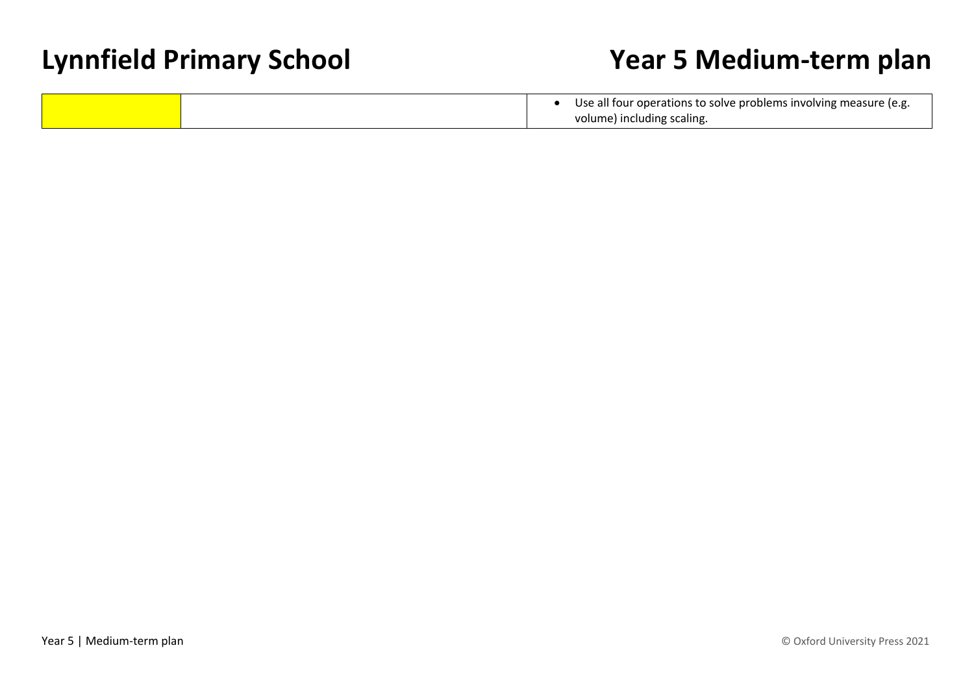|  | Use all four operations to solve problems involving measure (e.g. |
|--|-------------------------------------------------------------------|
|  | volume) including scaling.                                        |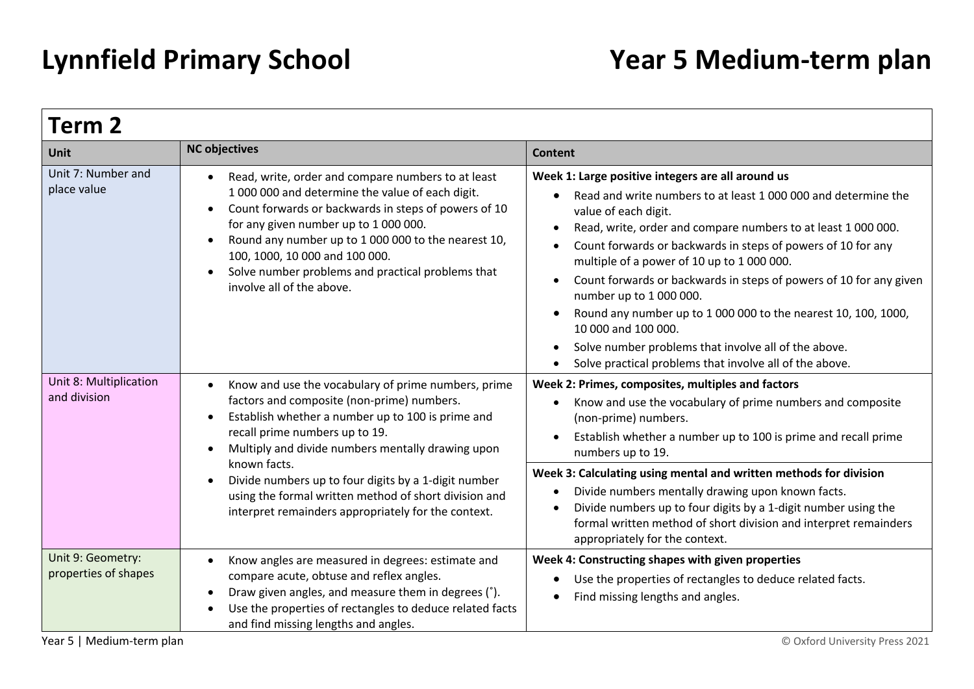| Term 2                                    |                                                                                                                                                                                                                                                                                                                                                                                                                                                    |                                                                                                                                                                                                                                                                                                                                                                                                                                                                                                                                                                                                                                         |  |  |
|-------------------------------------------|----------------------------------------------------------------------------------------------------------------------------------------------------------------------------------------------------------------------------------------------------------------------------------------------------------------------------------------------------------------------------------------------------------------------------------------------------|-----------------------------------------------------------------------------------------------------------------------------------------------------------------------------------------------------------------------------------------------------------------------------------------------------------------------------------------------------------------------------------------------------------------------------------------------------------------------------------------------------------------------------------------------------------------------------------------------------------------------------------------|--|--|
| Unit                                      | <b>NC objectives</b>                                                                                                                                                                                                                                                                                                                                                                                                                               | <b>Content</b>                                                                                                                                                                                                                                                                                                                                                                                                                                                                                                                                                                                                                          |  |  |
| Unit 7: Number and<br>place value         | Read, write, order and compare numbers to at least<br>1 000 000 and determine the value of each digit.<br>Count forwards or backwards in steps of powers of 10<br>$\bullet$<br>for any given number up to 1 000 000.<br>Round any number up to 1 000 000 to the nearest 10,<br>$\bullet$<br>100, 1000, 10 000 and 100 000.<br>Solve number problems and practical problems that<br>involve all of the above.                                       | Week 1: Large positive integers are all around us<br>Read and write numbers to at least 1 000 000 and determine the<br>value of each digit.<br>Read, write, order and compare numbers to at least 1 000 000.<br>Count forwards or backwards in steps of powers of 10 for any<br>multiple of a power of 10 up to 1 000 000.<br>Count forwards or backwards in steps of powers of 10 for any given<br>number up to 1 000 000.<br>Round any number up to 1 000 000 to the nearest 10, 100, 1000,<br>10 000 and 100 000.<br>Solve number problems that involve all of the above.<br>Solve practical problems that involve all of the above. |  |  |
| Unit 8: Multiplication<br>and division    | Know and use the vocabulary of prime numbers, prime<br>factors and composite (non-prime) numbers.<br>Establish whether a number up to 100 is prime and<br>recall prime numbers up to 19.<br>Multiply and divide numbers mentally drawing upon<br>$\bullet$<br>known facts.<br>Divide numbers up to four digits by a 1-digit number<br>using the formal written method of short division and<br>interpret remainders appropriately for the context. | Week 2: Primes, composites, multiples and factors<br>Know and use the vocabulary of prime numbers and composite<br>(non-prime) numbers.<br>Establish whether a number up to 100 is prime and recall prime<br>numbers up to 19.<br>Week 3: Calculating using mental and written methods for division<br>Divide numbers mentally drawing upon known facts.<br>Divide numbers up to four digits by a 1-digit number using the<br>formal written method of short division and interpret remainders<br>appropriately for the context.                                                                                                        |  |  |
| Unit 9: Geometry:<br>properties of shapes | Know angles are measured in degrees: estimate and<br>$\bullet$<br>compare acute, obtuse and reflex angles.<br>Draw given angles, and measure them in degrees (°).<br>Use the properties of rectangles to deduce related facts<br>and find missing lengths and angles.                                                                                                                                                                              | Week 4: Constructing shapes with given properties<br>Use the properties of rectangles to deduce related facts.<br>Find missing lengths and angles.                                                                                                                                                                                                                                                                                                                                                                                                                                                                                      |  |  |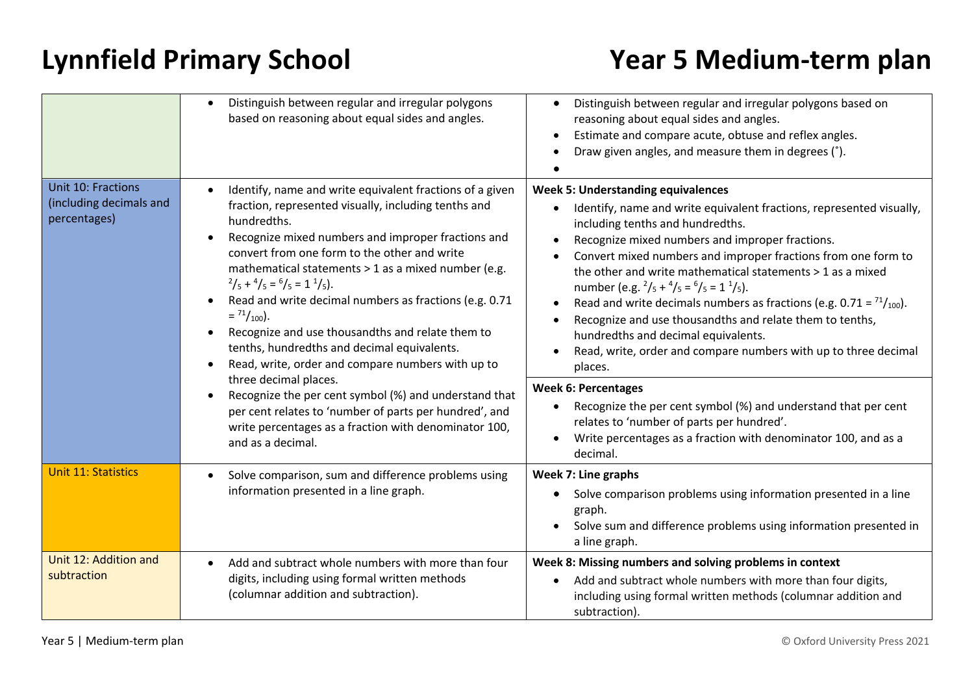|                                                               | Distinguish between regular and irregular polygons<br>based on reasoning about equal sides and angles.                                                                                                                                                                                                                                                                                                                                                                                                                                                                                                                                                                                 | Distinguish between regular and irregular polygons based on<br>reasoning about equal sides and angles.<br>Estimate and compare acute, obtuse and reflex angles.<br>Draw given angles, and measure them in degrees (°).                                                                                                                                                                                                                                                                                                                                                                                                                                                                                                                                                               |
|---------------------------------------------------------------|----------------------------------------------------------------------------------------------------------------------------------------------------------------------------------------------------------------------------------------------------------------------------------------------------------------------------------------------------------------------------------------------------------------------------------------------------------------------------------------------------------------------------------------------------------------------------------------------------------------------------------------------------------------------------------------|--------------------------------------------------------------------------------------------------------------------------------------------------------------------------------------------------------------------------------------------------------------------------------------------------------------------------------------------------------------------------------------------------------------------------------------------------------------------------------------------------------------------------------------------------------------------------------------------------------------------------------------------------------------------------------------------------------------------------------------------------------------------------------------|
| Unit 10: Fractions<br>(including decimals and<br>percentages) | Identify, name and write equivalent fractions of a given<br>fraction, represented visually, including tenths and<br>hundredths.<br>Recognize mixed numbers and improper fractions and<br>convert from one form to the other and write<br>mathematical statements > 1 as a mixed number (e.g.<br>$^{2}/_{5}$ + $^{4}/_{5}$ = $^{6}/_{5}$ = 1 $^{1}/_{5}$ ).<br>Read and write decimal numbers as fractions (e.g. 0.71<br>$=$ $^{71}/_{100}$ .<br>Recognize and use thousandths and relate them to<br>tenths, hundredths and decimal equivalents.<br>Read, write, order and compare numbers with up to<br>three decimal places.<br>Recognize the per cent symbol (%) and understand that | <b>Week 5: Understanding equivalences</b><br>Identify, name and write equivalent fractions, represented visually,<br>including tenths and hundredths.<br>Recognize mixed numbers and improper fractions.<br>Convert mixed numbers and improper fractions from one form to<br>the other and write mathematical statements > 1 as a mixed<br>number (e.g. $^{2}/_{5}$ + $^{4}/_{5}$ = $^{6}/_{5}$ = 1 $^{1}/_{5}$ ).<br>Read and write decimals numbers as fractions (e.g. $0.71 = \frac{71}{100}$ ).<br>Recognize and use thousandths and relate them to tenths,<br>hundredths and decimal equivalents.<br>Read, write, order and compare numbers with up to three decimal<br>places.<br><b>Week 6: Percentages</b><br>Recognize the per cent symbol (%) and understand that per cent |
| and as a decimal.                                             | per cent relates to 'number of parts per hundred', and<br>write percentages as a fraction with denominator 100,                                                                                                                                                                                                                                                                                                                                                                                                                                                                                                                                                                        | relates to 'number of parts per hundred'.<br>Write percentages as a fraction with denominator 100, and as a<br>decimal.                                                                                                                                                                                                                                                                                                                                                                                                                                                                                                                                                                                                                                                              |
| <b>Unit 11: Statistics</b>                                    | Solve comparison, sum and difference problems using<br>information presented in a line graph.                                                                                                                                                                                                                                                                                                                                                                                                                                                                                                                                                                                          | Week 7: Line graphs<br>Solve comparison problems using information presented in a line<br>$\bullet$<br>graph.<br>Solve sum and difference problems using information presented in<br>a line graph.                                                                                                                                                                                                                                                                                                                                                                                                                                                                                                                                                                                   |
| Unit 12: Addition and<br>subtraction                          | Add and subtract whole numbers with more than four<br>$\bullet$<br>digits, including using formal written methods<br>(columnar addition and subtraction).                                                                                                                                                                                                                                                                                                                                                                                                                                                                                                                              | Week 8: Missing numbers and solving problems in context<br>Add and subtract whole numbers with more than four digits,<br>including using formal written methods (columnar addition and<br>subtraction).                                                                                                                                                                                                                                                                                                                                                                                                                                                                                                                                                                              |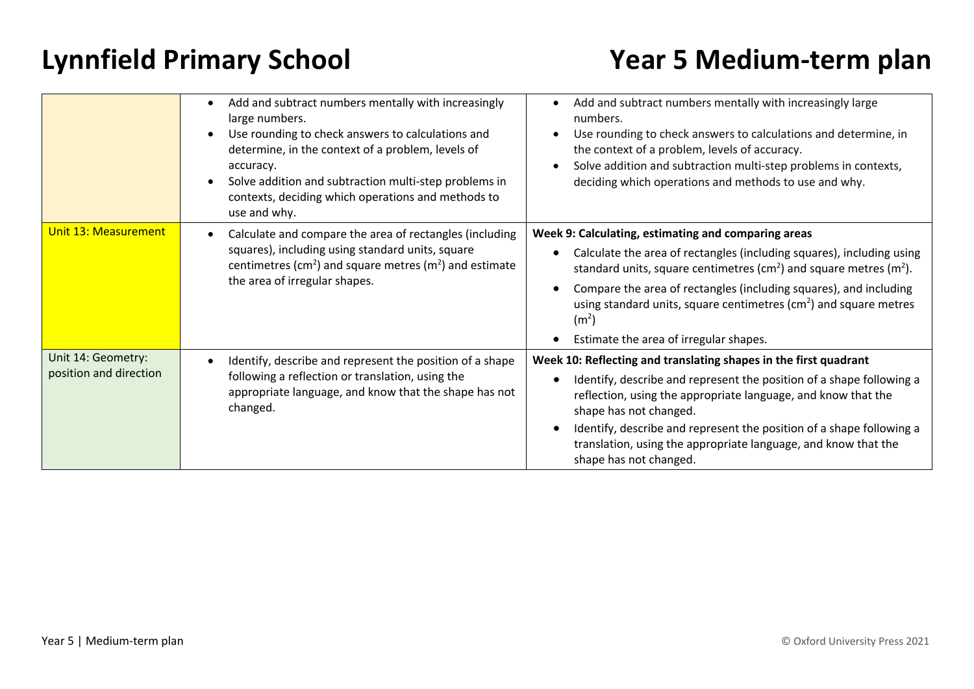|                                              | Add and subtract numbers mentally with increasingly<br>large numbers.<br>Use rounding to check answers to calculations and<br>determine, in the context of a problem, levels of<br>accuracy.<br>Solve addition and subtraction multi-step problems in<br>contexts, deciding which operations and methods to<br>use and why. | Add and subtract numbers mentally with increasingly large<br>numbers.<br>Use rounding to check answers to calculations and determine, in<br>the context of a problem, levels of accuracy.<br>Solve addition and subtraction multi-step problems in contexts,<br>deciding which operations and methods to use and why.                                                                                                                |
|----------------------------------------------|-----------------------------------------------------------------------------------------------------------------------------------------------------------------------------------------------------------------------------------------------------------------------------------------------------------------------------|--------------------------------------------------------------------------------------------------------------------------------------------------------------------------------------------------------------------------------------------------------------------------------------------------------------------------------------------------------------------------------------------------------------------------------------|
| <b>Unit 13: Measurement</b>                  | Calculate and compare the area of rectangles (including<br>squares), including using standard units, square<br>centimetres (cm <sup>2</sup> ) and square metres (m <sup>2</sup> ) and estimate<br>the area of irregular shapes.                                                                                             | Week 9: Calculating, estimating and comparing areas<br>Calculate the area of rectangles (including squares), including using<br>standard units, square centimetres (cm <sup>2</sup> ) and square metres (m <sup>2</sup> ).<br>Compare the area of rectangles (including squares), and including<br>using standard units, square centimetres $(cm2)$ and square metres<br>(m <sup>2</sup> )<br>Estimate the area of irregular shapes. |
| Unit 14: Geometry:<br>position and direction | Identify, describe and represent the position of a shape<br>following a reflection or translation, using the<br>appropriate language, and know that the shape has not<br>changed.                                                                                                                                           | Week 10: Reflecting and translating shapes in the first quadrant<br>Identify, describe and represent the position of a shape following a<br>reflection, using the appropriate language, and know that the<br>shape has not changed.<br>Identify, describe and represent the position of a shape following a<br>translation, using the appropriate language, and know that the<br>shape has not changed.                              |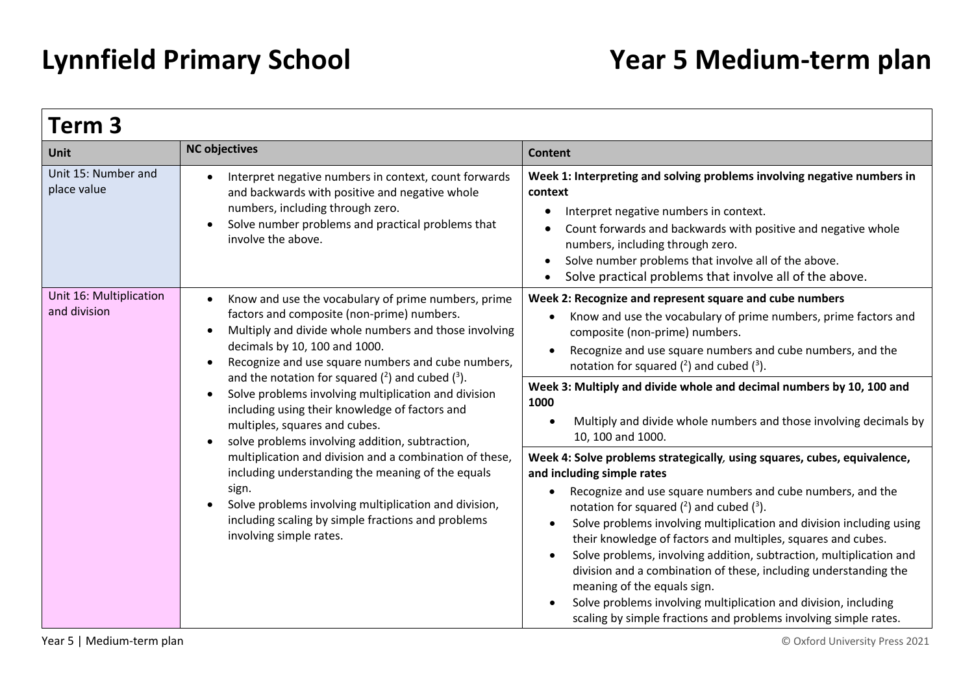| Term 3                                                                                                                                                                                                                                                          |                                                                                                                                                                                                                                                                                                                                                                                                                                                                                                                                                                                                                                                                                 |                                                                                                                                                                                                                                                                                                                                                                                                                                                        |  |
|-----------------------------------------------------------------------------------------------------------------------------------------------------------------------------------------------------------------------------------------------------------------|---------------------------------------------------------------------------------------------------------------------------------------------------------------------------------------------------------------------------------------------------------------------------------------------------------------------------------------------------------------------------------------------------------------------------------------------------------------------------------------------------------------------------------------------------------------------------------------------------------------------------------------------------------------------------------|--------------------------------------------------------------------------------------------------------------------------------------------------------------------------------------------------------------------------------------------------------------------------------------------------------------------------------------------------------------------------------------------------------------------------------------------------------|--|
| Unit                                                                                                                                                                                                                                                            | <b>NC objectives</b>                                                                                                                                                                                                                                                                                                                                                                                                                                                                                                                                                                                                                                                            | <b>Content</b>                                                                                                                                                                                                                                                                                                                                                                                                                                         |  |
| Unit 15: Number and<br>place value                                                                                                                                                                                                                              | Interpret negative numbers in context, count forwards<br>and backwards with positive and negative whole<br>numbers, including through zero.<br>Solve number problems and practical problems that<br>involve the above.                                                                                                                                                                                                                                                                                                                                                                                                                                                          | Week 1: Interpreting and solving problems involving negative numbers in<br>context<br>Interpret negative numbers in context.<br>$\bullet$<br>Count forwards and backwards with positive and negative whole<br>numbers, including through zero.<br>Solve number problems that involve all of the above.<br>$\bullet$<br>Solve practical problems that involve all of the above.<br>$\bullet$                                                            |  |
| Unit 16: Multiplication<br>and division                                                                                                                                                                                                                         | Know and use the vocabulary of prime numbers, prime<br>factors and composite (non-prime) numbers.<br>Multiply and divide whole numbers and those involving<br>$\bullet$<br>decimals by 10, 100 and 1000.<br>Recognize and use square numbers and cube numbers,<br>and the notation for squared $(2)$ and cubed $(3)$ .<br>Solve problems involving multiplication and division<br>$\bullet$<br>including using their knowledge of factors and<br>multiples, squares and cubes.<br>solve problems involving addition, subtraction,<br>$\bullet$                                                                                                                                  | Week 2: Recognize and represent square and cube numbers<br>Know and use the vocabulary of prime numbers, prime factors and<br>composite (non-prime) numbers.<br>Recognize and use square numbers and cube numbers, and the<br>notation for squared $(^2)$ and cubed $(^3)$ .<br>Week 3: Multiply and divide whole and decimal numbers by 10, 100 and<br>1000<br>Multiply and divide whole numbers and those involving decimals by<br>10, 100 and 1000. |  |
| multiplication and division and a combination of these,<br>including understanding the meaning of the equals<br>sign.<br>Solve problems involving multiplication and division,<br>including scaling by simple fractions and problems<br>involving simple rates. | Week 4: Solve problems strategically, using squares, cubes, equivalence,<br>and including simple rates<br>Recognize and use square numbers and cube numbers, and the<br>notation for squared $(^2)$ and cubed $(^3)$ .<br>Solve problems involving multiplication and division including using<br>their knowledge of factors and multiples, squares and cubes.<br>Solve problems, involving addition, subtraction, multiplication and<br>division and a combination of these, including understanding the<br>meaning of the equals sign.<br>Solve problems involving multiplication and division, including<br>scaling by simple fractions and problems involving simple rates. |                                                                                                                                                                                                                                                                                                                                                                                                                                                        |  |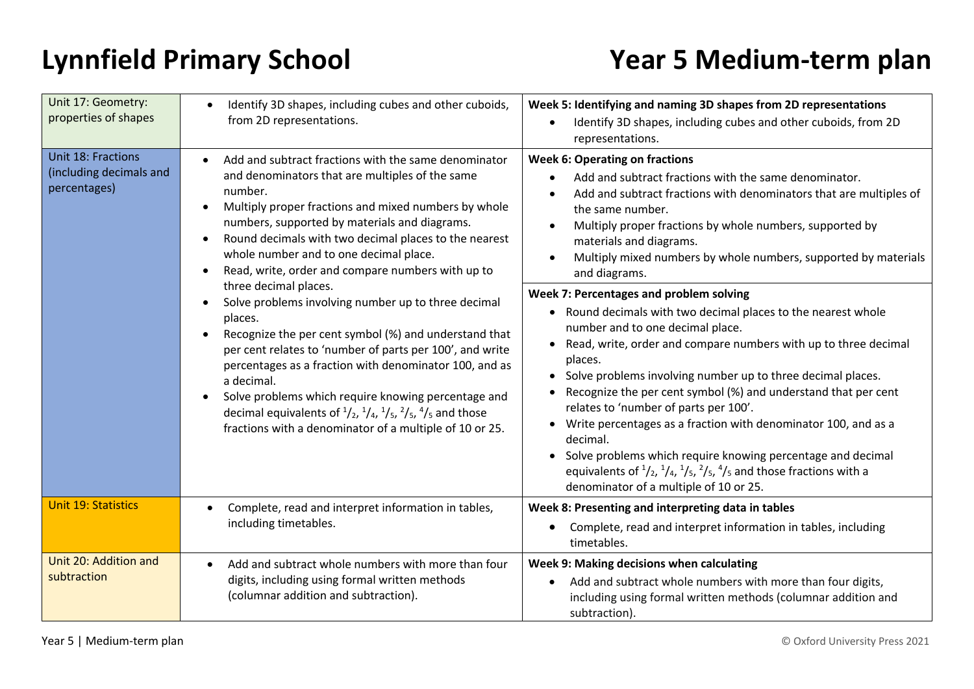| Unit 17: Geometry:<br>properties of shapes                    | Identify 3D shapes, including cubes and other cuboids,<br>from 2D representations.                                                                                                                                                                                                                                                                                                                                                                                                                                                                                                                                                                                                                                                                                                                                                                                                                              | Week 5: Identifying and naming 3D shapes from 2D representations<br>Identify 3D shapes, including cubes and other cuboids, from 2D<br>representations.                                                                                                                                                                                                                                                                                                                                                                                                                                |
|---------------------------------------------------------------|-----------------------------------------------------------------------------------------------------------------------------------------------------------------------------------------------------------------------------------------------------------------------------------------------------------------------------------------------------------------------------------------------------------------------------------------------------------------------------------------------------------------------------------------------------------------------------------------------------------------------------------------------------------------------------------------------------------------------------------------------------------------------------------------------------------------------------------------------------------------------------------------------------------------|---------------------------------------------------------------------------------------------------------------------------------------------------------------------------------------------------------------------------------------------------------------------------------------------------------------------------------------------------------------------------------------------------------------------------------------------------------------------------------------------------------------------------------------------------------------------------------------|
| Unit 18: Fractions<br>(including decimals and<br>percentages) | Add and subtract fractions with the same denominator<br>and denominators that are multiples of the same<br>number.<br>Multiply proper fractions and mixed numbers by whole<br>numbers, supported by materials and diagrams.<br>Round decimals with two decimal places to the nearest<br>whole number and to one decimal place.<br>Read, write, order and compare numbers with up to<br>three decimal places.<br>Solve problems involving number up to three decimal<br>places.<br>Recognize the per cent symbol (%) and understand that<br>per cent relates to 'number of parts per 100', and write<br>percentages as a fraction with denominator 100, and as<br>a decimal.<br>Solve problems which require knowing percentage and<br>decimal equivalents of $\frac{1}{2}$ , $\frac{1}{4}$ , $\frac{1}{5}$ , $\frac{2}{5}$ , $\frac{4}{5}$ and those<br>fractions with a denominator of a multiple of 10 or 25. | <b>Week 6: Operating on fractions</b><br>Add and subtract fractions with the same denominator.<br>Add and subtract fractions with denominators that are multiples of<br>the same number.<br>Multiply proper fractions by whole numbers, supported by<br>materials and diagrams.<br>Multiply mixed numbers by whole numbers, supported by materials<br>and diagrams.<br>Week 7: Percentages and problem solving<br>• Round decimals with two decimal places to the nearest whole<br>number and to one decimal place.                                                                   |
|                                                               |                                                                                                                                                                                                                                                                                                                                                                                                                                                                                                                                                                                                                                                                                                                                                                                                                                                                                                                 | Read, write, order and compare numbers with up to three decimal<br>places.<br>Solve problems involving number up to three decimal places.<br>$\bullet$<br>Recognize the per cent symbol (%) and understand that per cent<br>relates to 'number of parts per 100'.<br>Write percentages as a fraction with denominator 100, and as a<br>decimal.<br>• Solve problems which require knowing percentage and decimal<br>equivalents of $\frac{1}{2}$ , $\frac{1}{4}$ , $\frac{1}{5}$ , $\frac{2}{5}$ , $\frac{4}{5}$ and those fractions with a<br>denominator of a multiple of 10 or 25. |
| <b>Unit 19: Statistics</b>                                    | Complete, read and interpret information in tables,<br>including timetables.                                                                                                                                                                                                                                                                                                                                                                                                                                                                                                                                                                                                                                                                                                                                                                                                                                    | Week 8: Presenting and interpreting data in tables<br>Complete, read and interpret information in tables, including<br>$\bullet$<br>timetables.                                                                                                                                                                                                                                                                                                                                                                                                                                       |
| Unit 20: Addition and<br>subtraction                          | Add and subtract whole numbers with more than four<br>digits, including using formal written methods<br>(columnar addition and subtraction).                                                                                                                                                                                                                                                                                                                                                                                                                                                                                                                                                                                                                                                                                                                                                                    | Week 9: Making decisions when calculating<br>Add and subtract whole numbers with more than four digits,<br>including using formal written methods (columnar addition and<br>subtraction).                                                                                                                                                                                                                                                                                                                                                                                             |